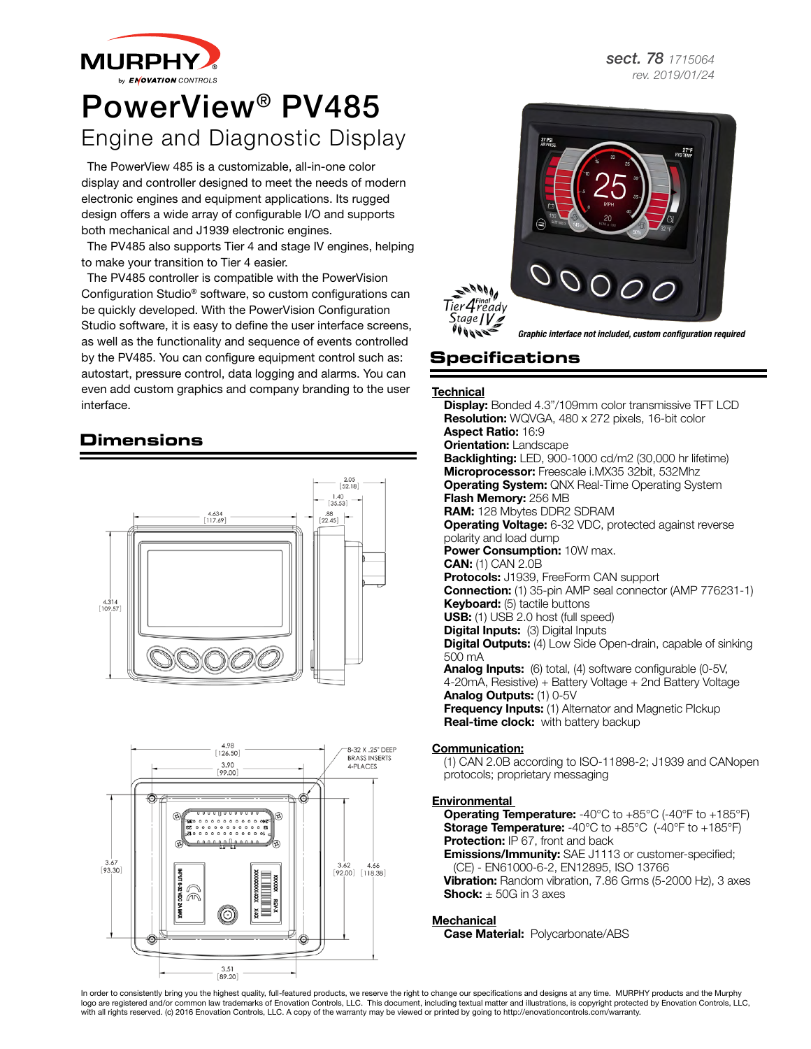**MURPHY** 

# PowerView® PV485 Engine and Diagnostic Display

The PowerView 485 is a customizable, all-in-one color display and controller designed to meet the needs of modern electronic engines and equipment applications. Its rugged design offers a wide array of configurable I/O and supports both mechanical and J1939 electronic engines.

The PV485 also supports Tier 4 and stage IV engines, helping to make your transition to Tier 4 easier.

The PV485 controller is compatible with the PowerVision Configuration Studio® software, so custom configurations can be quickly developed. With the PowerVision Configuration Studio software, it is easy to define the user interface screens, as well as the functionality and sequence of events controlled by the PV485. You can configure equipment control such as: autostart, pressure control, data logging and alarms. You can even add custom graphics and company branding to the user interface.

# **Dimensions**





*sect. 78 1715064 rev. 2019/01/24*



*Graphic interface not included, custom configuration required*

# **Specifications**

**Technical** 

**Display:** Bonded 4.3"/109mm color transmissive TFT LCD **Resolution:** WQVGA, 480 x 272 pixels, 16-bit color Aspect Ratio: 16:9 **Orientation: Landscape** Backlighting: LED, 900-1000 cd/m2 (30,000 hr lifetime) Microprocessor: Freescale i.MX35 32bit, 532Mhz **Operating System:** QNX Real-Time Operating System Flash Memory: 256 MB RAM: 128 Mbytes DDR2 SDRAM Operating Voltage: 6-32 VDC, protected against reverse polarity and load dump Power Consumption: 10W max. CAN: (1) CAN 2.0B Protocols: J1939, FreeForm CAN support Connection: (1) 35-pin AMP seal connector (AMP 776231-1) Keyboard: (5) tactile buttons USB: (1) USB 2.0 host (full speed) **Digital Inputs:** (3) Digital Inputs **Digital Outputs:** (4) Low Side Open-drain, capable of sinking 500 mA Analog Inputs: (6) total, (4) software configurable (0-5V, 4-20mA, Resistive) + Battery Voltage + 2nd Battery Voltage Analog Outputs: (1) 0-5V **Frequency Inputs:** (1) Alternator and Magnetic Plckup Real-time clock: with battery backup Communication:

(1) CAN 2.0B according to ISO-11898-2; J1939 and CANopen protocols; proprietary messaging

### **Environmental**

**Operating Temperature:** -40°C to +85°C (-40°F to +185°F) **Storage Temperature:** -40°C to +85°C (-40°F to +185°F) **Protection: IP 67, front and back** 

**Emissions/Immunity:** SAE J1113 or customer-specified; (CE) - EN61000-6-2, EN12895, ISO 13766

Vibration: Random vibration, 7.86 Grms (5-2000 Hz), 3 axes **Shock:**  $\pm$  50G in 3 axes

#### **Mechanical**

Case Material: Polycarbonate/ABS

In order to consistently bring you the highest quality, full-featured products, we reserve the right to change our specifications and designs at any time. MURPHY products and the Murphy logo are registered and/or common law trademarks of Enovation Controls, LLC. This document, including textual matter and illustrations, is copyright protected by Enovation Controls, LLC, with all rights reserved. (c) 2016 Enovation Controls, LLC. A copy of the warranty may be viewed or printed by going to http://enovationcontrols.com/warranty.